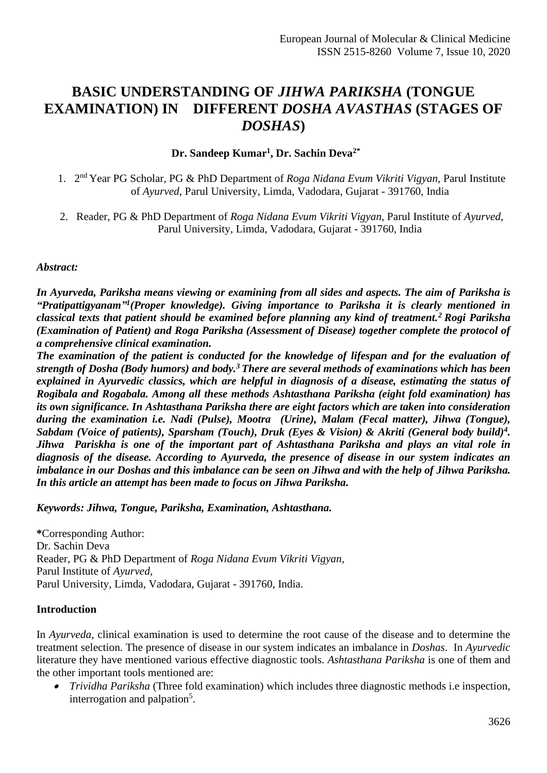# **BASIC UNDERSTANDING OF** *JIHWA PARIKSHA* **(TONGUE EXAMINATION) IN DIFFERENT** *DOSHA AVASTHAS* **(STAGES OF** *DOSHAS***)**

# **Dr. Sandeep Kumar<sup>1</sup> , Dr. Sachin Deva2\***

- 1. 2 nd Year PG Scholar, PG & PhD Department of *Roga Nidana Evum Vikriti Vigyan,* Parul Institute of *Ayurved*, Parul University, Limda, Vadodara, Gujarat - 391760*,* India
- 2. Reader, PG & PhD Department of *Roga Nidana Evum Vikriti Vigyan,* Parul Institute of *Ayurved*, Parul University, Limda, Vadodara, Gujarat - 391760*,* India

#### *Abstract:*

*In Ayurveda, Pariksha means viewing or examining from all sides and aspects. The aim of Pariksha is*  "Pratipattigyanam<sup>"1</sup>(Proper knowledge). Giving importance to Pariksha it is clearly mentioned in *classical texts that patient should be examined before planning any kind of treatment.<sup>2</sup>Rogi Pariksha (Examination of Patient) and Roga Pariksha (Assessment of Disease) together complete the protocol of a comprehensive clinical examination.* 

*The examination of the patient is conducted for the knowledge of lifespan and for the evaluation of strength of Dosha (Body humors) and body.<sup>3</sup>There are several methods of examinations which has been explained in Ayurvedic classics, which are helpful in diagnosis of a disease, estimating the status of Rogibala and Rogabala. Among all these methods Ashtasthana Pariksha (eight fold examination) has its own significance. In Ashtasthana Pariksha there are eight factors which are taken into consideration during the examination i.e. Nadi (Pulse), Mootra (Urine), Malam (Fecal matter), Jihwa (Tongue), Sabdam (Voice of patients), Sparsham (Touch), Druk (Eyes & Vision) & Akriti (General body build)<sup>4</sup> . Jihwa Pariskha is one of the important part of Ashtasthana Pariksha and plays an vital role in diagnosis of the disease. According to Ayurveda, the presence of disease in our system indicates an imbalance in our Doshas and this imbalance can be seen on Jihwa and with the help of Jihwa Pariksha. In this article an attempt has been made to focus on Jihwa Pariksha.*

*Keywords: Jihwa, Tongue, Pariksha, Examination, Ashtasthana.*

**\***Corresponding Author: Dr. Sachin Deva Reader, PG & PhD Department of *Roga Nidana Evum Vikriti Vigyan*, Parul Institute of *Ayurved*, Parul University, Limda, Vadodara, Gujarat - 391760*,* India.

#### **Introduction**

In *Ayurveda*, clinical examination is used to determine the root cause of the disease and to determine the treatment selection. The presence of disease in our system indicates an imbalance in *Doshas*. In *Ayurvedic* literature they have mentioned various effective diagnostic tools. *Ashtasthana Pariksha* is one of them and the other important tools mentioned are:

• *Trividha Pariksha* (Three fold examination) which includes three diagnostic methods i.e inspection, interrogation and palpation<sup>5</sup>.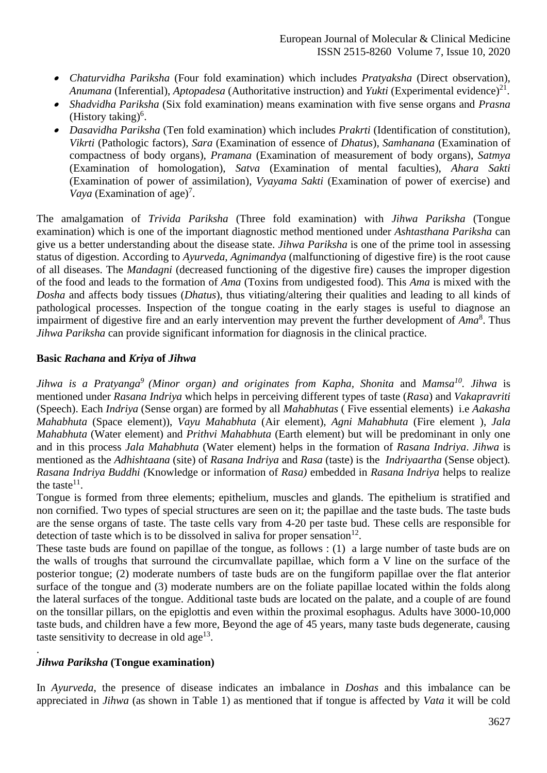- *Chaturvidha Pariksha* (Four fold examination) which includes *Pratyaksha* (Direct observation), *Anumana* (Inferential), *Aptopadesa* (Authoritative instruction) and *Yukti* (Experimental evidence)<sup>21</sup>.
- *Shadvidha Pariksha* (Six fold examination) means examination with five sense organs and *Prasna* (History taking) $<sup>6</sup>$ .</sup>
- *Dasavidha Pariksha* (Ten fold examination) which includes *Prakrti* (Identification of constitution), *Vikrti* (Pathologic factors), *Sara* (Examination of essence of *Dhatus*), *Samhanana* (Examination of compactness of body organs), *Pramana* (Examination of measurement of body organs), *Satmya* (Examination of homologation), *Satva* (Examination of mental faculties), *Ahara Sakti* (Examination of power of assimilation), *Vyayama Sakti* (Examination of power of exercise) and Vaya (Examination of age)<sup>7</sup>.

The amalgamation of *Trivida Pariksha* (Three fold examination) with *Jihwa Pariksha* (Tongue examination) which is one of the important diagnostic method mentioned under *Ashtasthana Pariksha* can give us a better understanding about the disease state. *Jihwa Pariksha* is one of the prime tool in assessing status of digestion. According to *Ayurveda*, *Agnimandya* (malfunctioning of digestive fire) is the root cause of all diseases. The *Mandagni* (decreased functioning of the digestive fire) causes the improper digestion of the food and leads to the formation of *Ama* (Toxins from undigested food). This *Ama* is mixed with the *Dosha* and affects body tissues (*Dhatus*), thus vitiating/altering their qualities and leading to all kinds of pathological processes. Inspection of the tongue coating in the early stages is useful to diagnose an impairment of digestive fire and an early intervention may prevent the further development of *Ama*<sup>8</sup> . Thus *Jihwa Pariksha* can provide significant information for diagnosis in the clinical practice.

# **Basic** *Rachana* **and** *Kriya* **of** *Jihwa*

*Jihwa is a Pratyanga<sup>9</sup> (Minor organ) and originates from Kapha, Shonita* and *Mamsa<sup>10</sup> . Jihwa* is mentioned under *Rasana Indriya* which helps in perceiving different types of taste (*Rasa*) and *Vakapravriti*  (Speech). Each *Indriya* (Sense organ) are formed by all *Mahabhutas* ( Five essential elements) i.e *Aakasha Mahabhuta* (Space element)), *Vayu Mahabhuta* (Air element), *Agni Mahabhuta* (Fire element ), *Jala Mahabhuta* (Water element) and *Prithvi Mahabhuta* (Earth element) but will be predominant in only one and in this process *Jala Mahabhuta* (Water element) helps in the formation of *Rasana Indriya*. *Jihwa* is mentioned as the *Adhishtaana* (site) of *Rasana Indriya* and *Rasa* (taste) is the *Indriyaartha* (Sense object)*. Rasana Indriya Buddhi (*Knowledge or information of *Rasa)* embedded in *Rasana Indriya* helps to realize the taste $11$ .

Tongue is formed from three elements; epithelium, muscles and glands. The epithelium is stratified and non cornified. Two types of special structures are seen on it; the papillae and the taste buds. The taste buds are the sense organs of taste. The taste cells vary from 4-20 per taste bud. These cells are responsible for detection of taste which is to be dissolved in saliva for proper sensation $12$ .

These taste buds are found on papillae of the tongue, as follows : (1) a large number of taste buds are on the walls of troughs that surround the circumvallate papillae, which form a V line on the surface of the posterior tongue; (2) moderate numbers of taste buds are on the fungiform papillae over the flat anterior surface of the tongue and (3) moderate numbers are on the foliate papillae located within the folds along the lateral surfaces of the tongue. Additional taste buds are located on the palate, and a couple of are found on the tonsillar pillars, on the epiglottis and even within the proximal esophagus. Adults have 3000-10,000 taste buds, and children have a few more, Beyond the age of 45 years, many taste buds degenerate, causing taste sensitivity to decrease in old age<sup>13</sup>.

# *Jihwa Pariksha* **(Tongue examination)**

.

In *Ayurveda*, the presence of disease indicates an imbalance in *Doshas* and this imbalance can be appreciated in *Jihwa* (as shown in Table 1) as mentioned that if tongue is affected by *Vata* it will be cold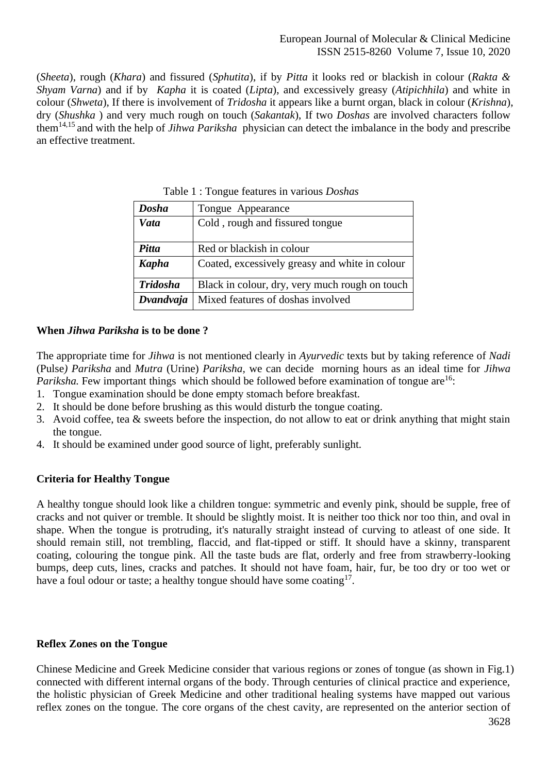(*Sheeta*), rough (*Khara*) and fissured (*Sphutita*), if by *Pitta* it looks red or blackish in colour (*Rakta & Shyam Varna*) and if by *Kapha* it is coated (*Lipta*), and excessively greasy (*Atipichhila*) and white in colour (*Shweta*), If there is involvement of *Tridosha* it appears like a burnt organ, black in colour (*Krishna*), dry (*Shushka* ) and very much rough on touch (*Sakantak*), If two *Doshas* are involved characters follow them14,15 and with the help of *Jihwa Pariksha* physician can detect the imbalance in the body and prescribe an effective treatment.

| <b>Dosha</b>    | Tongue Appearance                              |
|-----------------|------------------------------------------------|
| Vata            | Cold, rough and fissured tongue                |
|                 |                                                |
| Pitta           | Red or blackish in colour                      |
| <b>Kapha</b>    | Coated, excessively greasy and white in colour |
| <b>Tridosha</b> | Black in colour, dry, very much rough on touch |
| Dvandvaja       | Mixed features of doshas involved              |

Table 1 : Tongue features in various *Doshas*

# **When** *Jihwa Pariksha* **is to be done ?**

The appropriate time for *Jihwa* is not mentioned clearly in *Ayurvedic* texts but by taking reference of *Nadi* (Pulse*) Pariksha* and *Mutra* (Urine) *Pariksha,* we can decide morning hours as an ideal time for *Jihwa Pariksha.* Few important things which should be followed before examination of tongue are<sup>16</sup>:

- 1. Tongue examination should be done empty stomach before breakfast.
- 2. It should be done before brushing as this would disturb the tongue coating.
- 3. Avoid coffee, tea & sweets before the inspection, do not allow to eat or drink anything that might stain the tongue.
- 4. It should be examined under good source of light, preferably sunlight.

# **Criteria for Healthy Tongue**

A healthy tongue should look like a children tongue: symmetric and evenly pink, should be supple, free of cracks and not quiver or tremble. It should be slightly moist. It is neither too thick nor too thin, and oval in shape. When the tongue is protruding, it's naturally straight instead of curving to atleast of one side. It should remain still, not trembling, flaccid, and flat-tipped or stiff. It should have a skinny, transparent coating, colouring the tongue pink. All the taste buds are flat, orderly and free from strawberry-looking bumps, deep cuts, lines, cracks and patches. It should not have foam, hair, fur, be too dry or too wet or have a foul odour or taste; a healthy tongue should have some coating<sup>17</sup>.

# **Reflex Zones on the Tongue**

Chinese Medicine and Greek Medicine consider that various regions or zones of tongue (as shown in Fig.1) connected with different internal organs of the body. Through centuries of clinical practice and experience, the holistic physician of Greek Medicine and other traditional healing systems have mapped out various reflex zones on the tongue. The core organs of the chest cavity, are represented on the anterior section of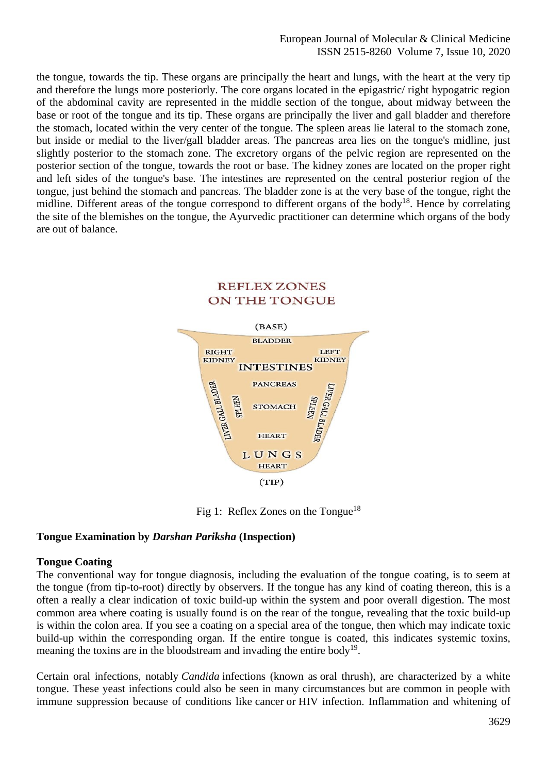European Journal of Molecular & Clinical Medicine ISSN 2515-8260 Volume 7, Issue 10, 2020

the tongue, towards the tip. These organs are principally the heart and lungs, with the heart at the very tip and therefore the lungs more posteriorly. The core organs located in the epigastric/ right hypogatric region of the abdominal cavity are represented in the middle section of the tongue, about midway between the base or root of the tongue and its tip. These organs are principally the liver and gall bladder and therefore the stomach, located within the very center of the tongue. The spleen areas lie lateral to the stomach zone, but inside or medial to the liver/gall bladder areas. The pancreas area lies on the tongue's midline, just slightly posterior to the stomach zone. The excretory organs of the pelvic region are represented on the posterior section of the tongue, towards the root or base. The kidney zones are located on the proper right and left sides of the tongue's base. The intestines are represented on the central posterior region of the tongue, just behind the stomach and pancreas. The bladder zone is at the very base of the tongue, right the midline. Different areas of the tongue correspond to different organs of the body<sup>18</sup>. Hence by correlating the site of the blemishes on the tongue, the Ayurvedic practitioner can determine which organs of the body are out of balance.



Fig 1: Reflex Zones on the Tongue<sup>18</sup>

#### **Tongue Examination by** *Darshan Pariksha* **(Inspection)**

#### **Tongue Coating**

The conventional way for tongue diagnosis, including the evaluation of the tongue coating, is to seem at the tongue (from tip-to-root) directly by observers. If the tongue has any kind of coating thereon, this is a often a really a clear indication of toxic build-up within the system and poor overall digestion. The most common area where coating is usually found is on the rear of the tongue, revealing that the toxic build-up is within the colon area. If you see a coating on a special area of the tongue, then which may indicate toxic build-up within the corresponding organ. If the entire tongue is coated, this indicates systemic toxins, meaning the toxins are in the bloodstream and invading the entire body<sup>19</sup>.

Certain oral infections, notably *Candida* infections (known as oral thrush), are characterized by a white tongue. These yeast infections could also be seen in many circumstances but are common in people with immune suppression because of conditions like cancer or HIV infection. Inflammation and whitening of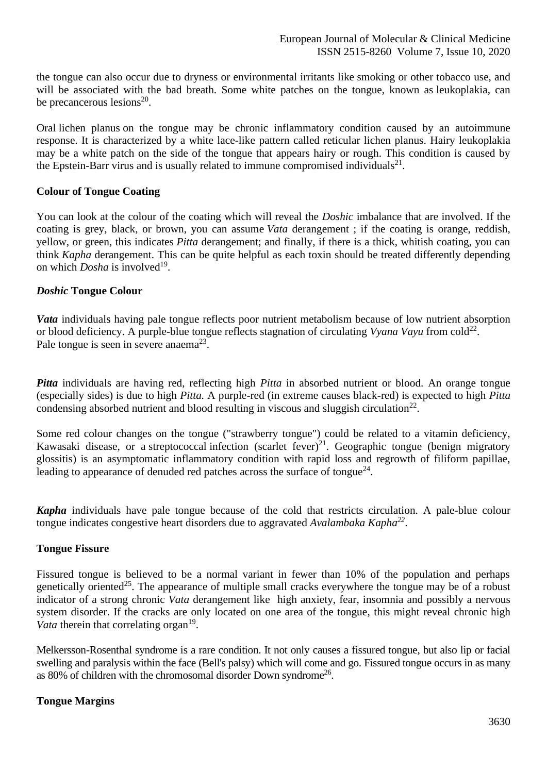the tongue can also occur due to dryness or environmental irritants like smoking or other tobacco use, and will be associated with the bad breath. Some white patches on the tongue, known as leukoplakia, can be precancerous lesions<sup>20</sup>.

Oral lichen planus on the tongue may be chronic inflammatory condition caused by an autoimmune response. It is characterized by a white lace-like pattern called reticular lichen planus. Hairy leukoplakia may be a white patch on the side of the tongue that appears hairy or rough. This condition is caused by the Epstein-Barr virus and is usually related to immune compromised individuals<sup>21</sup>.

## **Colour of Tongue Coating**

You can look at the colour of the coating which will reveal the *Doshic* imbalance that are involved. If the coating is grey, black, or brown, you can assume *Vata* derangement ; if the coating is orange, reddish, yellow, or green, this indicates *Pitta* derangement; and finally, if there is a thick, whitish coating, you can think *Kapha* derangement. This can be quite helpful as each toxin should be treated differently depending on which *Dosha* is involved<sup>19</sup>.

### *Doshic* **Tongue Colour**

*Vata* individuals having pale tongue reflects poor nutrient metabolism because of low nutrient absorption or blood deficiency. A purple-blue tongue reflects stagnation of circulating *Vyana Vayu* from cold<sup>22</sup>. Pale tongue is seen in severe anaema<sup>23</sup>.

*Pitta* individuals are having red, reflecting high *Pitta* in absorbed nutrient or blood. An orange tongue (especially sides) is due to high *Pitta.* A purple-red (in extreme causes black-red) is expected to high *Pitta* condensing absorbed nutrient and blood resulting in viscous and sluggish circulation<sup>22</sup>.

Some red colour changes on the tongue ("strawberry tongue") could be related to a vitamin deficiency, Kawasaki disease, or a streptococcal infection (scarlet fever) $^{21}$ . Geographic tongue (benign migratory glossitis) is an asymptomatic inflammatory condition with rapid loss and regrowth of filiform papillae, leading to appearance of denuded red patches across the surface of tongue<sup>24</sup>.

*Kapha* individuals have pale tongue because of the cold that restricts circulation. A pale-blue colour tongue indicates congestive heart disorders due to aggravated *Avalambaka Kapha<sup>22</sup>* .

#### **Tongue Fissure**

Fissured tongue is believed to be a normal variant in fewer than 10% of the population and perhaps genetically oriented<sup>25</sup>. The appearance of multiple small cracks everywhere the tongue may be of a robust indicator of a strong chronic *Vata* derangement like high anxiety, fear, insomnia and possibly a nervous system disorder. If the cracks are only located on one area of the tongue, this might reveal chronic high Vata therein that correlating organ<sup>19</sup>.

Melkersson-Rosenthal syndrome is a rare condition. It not only causes a fissured tongue, but also lip or facial swelling and paralysis within the face (Bell's palsy) which will come and go. Fissured tongue occurs in as many as 80% of children with the chromosomal disorder Down syndrome<sup>26</sup>.

# **Tongue Margins**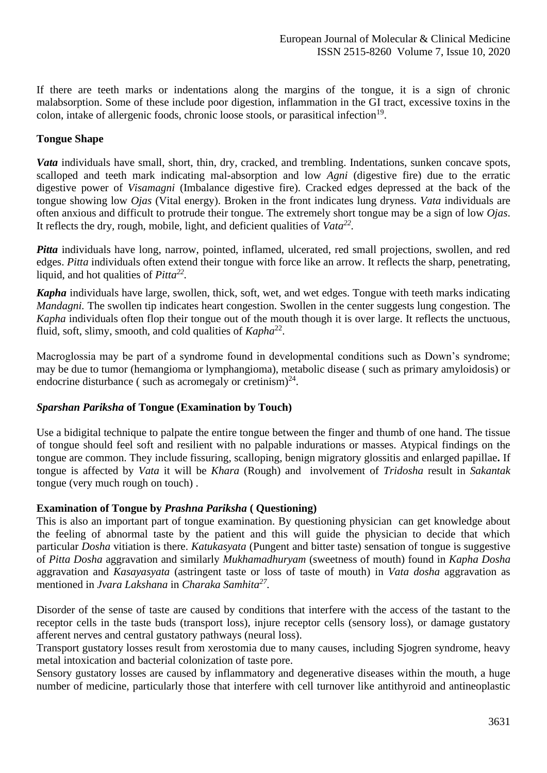If there are teeth marks or indentations along the margins of the tongue, it is a sign of chronic malabsorption. Some of these include poor digestion, inflammation in the GI tract, excessive toxins in the colon, intake of allergenic foods, chronic loose stools, or parasitical infection<sup>19</sup>.

# **Tongue Shape**

*Vata* individuals have small, short, thin, dry, cracked, and trembling. Indentations, sunken concave spots, scalloped and teeth mark indicating mal-absorption and low *Agni* (digestive fire) due to the erratic digestive power of *Visamagni* (Imbalance digestive fire). Cracked edges depressed at the back of the tongue showing low *Ojas* (Vital energy). Broken in the front indicates lung dryness. *Vata* individuals are often anxious and difficult to protrude their tongue. The extremely short tongue may be a sign of low *Ojas*. It reflects the dry, rough, mobile, light, and deficient qualities of *Vata<sup>22</sup> .*

*Pitta* individuals have long, narrow, pointed, inflamed, ulcerated, red small projections, swollen, and red edges. *Pitta* individuals often extend their tongue with force like an arrow. It reflects the sharp, penetrating, liquid, and hot qualities of *Pitta<sup>22</sup> .*

*Kapha* individuals have large, swollen, thick, soft, wet, and wet edges. Tongue with teeth marks indicating *Mandagni.* The swollen tip indicates heart congestion. Swollen in the center suggests lung congestion. The *Kapha* individuals often flop their tongue out of the mouth though it is over large. It reflects the unctuous, fluid, soft, slimy, smooth, and cold qualities of *Kapha*<sup>22</sup>.

Macroglossia may be part of a syndrome found in developmental conditions such as Down's syndrome; may be due to tumor (hemangioma or lymphangioma), metabolic disease ( such as primary amyloidosis) or endocrine disturbance (such as acromegaly or cretinism) $^{24}$ .

# *Sparshan Pariksha* **of Tongue (Examination by Touch)**

Use a bidigital technique to palpate the entire tongue between the finger and thumb of one hand. The tissue of tongue should feel soft and resilient with no palpable indurations or masses. Atypical findings on the tongue are common. They include fissuring, scalloping, benign migratory glossitis and enlarged papillae**.** If tongue is affected by *Vata* it will be *Khara* (Rough) and involvement of *Tridosha* result in *Sakantak*  tongue (very much rough on touch) .

# **Examination of Tongue by** *Prashna Pariksha* **( Questioning)**

This is also an important part of tongue examination. By questioning physician can get knowledge about the feeling of abnormal taste by the patient and this will guide the physician to decide that which particular *Dosha* vitiation is there. *Katukasyata* (Pungent and bitter taste) sensation of tongue is suggestive of *Pitta Dosha* aggravation and similarly *Mukhamadhuryam* (sweetness of mouth) found in *Kapha Dosha*  aggravation and *Kasayasyata* (astringent taste or loss of taste of mouth) in *Vata dosha* aggravation as mentioned in *Jvara Lakshana* in *Charaka Samhita<sup>27</sup> .*

Disorder of the sense of taste are caused by conditions that interfere with the access of the tastant to the receptor cells in the taste buds (transport loss), injure receptor cells (sensory loss), or damage gustatory afferent nerves and central gustatory pathways (neural loss).

Transport gustatory losses result from xerostomia due to many causes, including Sjogren syndrome, heavy metal intoxication and bacterial colonization of taste pore.

Sensory gustatory losses are caused by inflammatory and degenerative diseases within the mouth, a huge number of medicine, particularly those that interfere with cell turnover like antithyroid and antineoplastic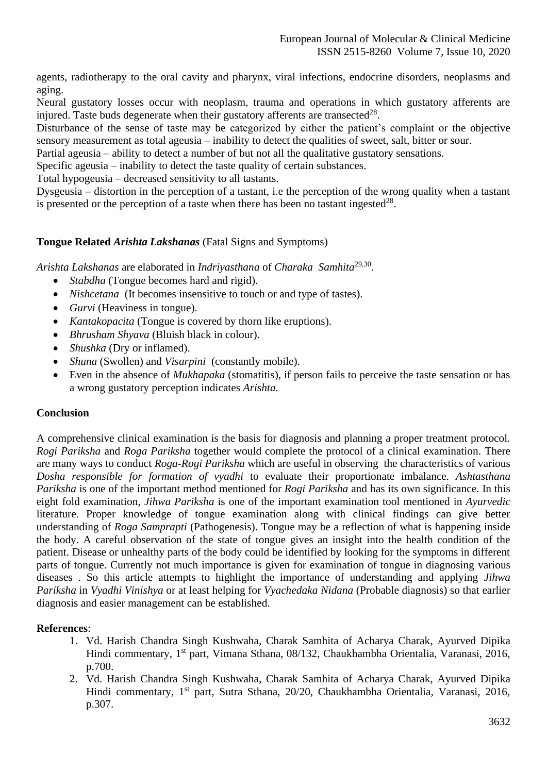agents, radiotherapy to the oral cavity and pharynx, viral infections, endocrine disorders, neoplasms and aging.

Neural gustatory losses occur with neoplasm, trauma and operations in which gustatory afferents are injured. Taste buds degenerate when their gustatory afferents are transected<sup>28</sup>.

Disturbance of the sense of taste may be categorized by either the patient's complaint or the objective sensory measurement as total ageusia – inability to detect the qualities of sweet, salt, bitter or sour.

Partial ageusia – ability to detect a number of but not all the qualitative gustatory sensations.

Specific ageusia – inability to detect the taste quality of certain substances.

Total hypogeusia – decreased sensitivity to all tastants.

Dysgeusia – distortion in the perception of a tastant, i.e the perception of the wrong quality when a tastant is presented or the perception of a taste when there has been no tastant ingested $^{28}$ .

### **Tongue Related** *Arishta Lakshanas* (Fatal Signs and Symptoms)

*Arishta Lakshanas* are elaborated in *Indriyasthana* of *Charaka Samhita*29,30 .

- *Stabdha* (Tongue becomes hard and rigid).
- *Nishcetana* (It becomes insensitive to touch or and type of tastes).
- *Gurvi* (Heaviness in tongue).
- *Kantakopacita* (Tongue is covered by thorn like eruptions).
- *Bhrusham Shyava* (Bluish black in colour).
- *Shushka* (Dry or inflamed).
- *Shuna* (Swollen) and *Visarpini* (constantly mobile).
- Even in the absence of *Mukhapaka* (stomatitis), if person fails to perceive the taste sensation or has a wrong gustatory perception indicates *Arishta.*

#### **Conclusion**

A comprehensive clinical examination is the basis for diagnosis and planning a proper treatment protocol*. Rogi Pariksha* and *Roga Pariksha* together would complete the protocol of a clinical examination. There are many ways to conduct *Roga*-*Rogi Pariksha* which are useful in observing the characteristics of various *Dosha responsible for formation of vyadhi* to evaluate their proportionate imbalance*. Ashtasthana Pariksha* is one of the important method mentioned for *Rogi Pariksha* and has its own significance. In this eight fold examination, *Jihwa Pariksha* is one of the important examination tool mentioned in *Ayurvedic* literature. Proper knowledge of tongue examination along with clinical findings can give better understanding of *Roga Samprapti* (Pathogenesis). Tongue may be a reflection of what is happening inside the body. A careful observation of the state of tongue gives an insight into the health condition of the patient. Disease or unhealthy parts of the body could be identified by looking for the symptoms in different parts of tongue. Currently not much importance is given for examination of tongue in diagnosing various diseases . So this article attempts to highlight the importance of understanding and applying *Jihwa Pariksha* in *Vyadhi Vinishya* or at least helping for *Vyachedaka Nidana* (Probable diagnosis) so that earlier diagnosis and easier management can be established.

#### **References**:

- 1. Vd. Harish Chandra Singh Kushwaha, Charak Samhita of Acharya Charak, Ayurved Dipika Hindi commentary, 1st part, Vimana Sthana, 08/132, Chaukhambha Orientalia, Varanasi, 2016, p.700.
- 2. Vd. Harish Chandra Singh Kushwaha, Charak Samhita of Acharya Charak, Ayurved Dipika Hindi commentary, 1st part, Sutra Sthana, 20/20, Chaukhambha Orientalia, Varanasi, 2016, p.307.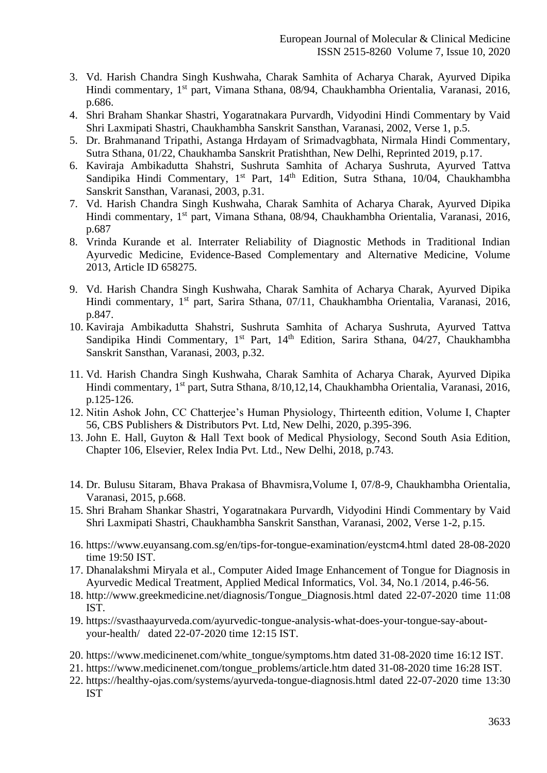- 3. Vd. Harish Chandra Singh Kushwaha, Charak Samhita of Acharya Charak, Ayurved Dipika Hindi commentary, 1st part, Vimana Sthana, 08/94, Chaukhambha Orientalia, Varanasi, 2016, p.686.
- 4. Shri Braham Shankar Shastri, Yogaratnakara Purvardh, Vidyodini Hindi Commentary by Vaid Shri Laxmipati Shastri, Chaukhambha Sanskrit Sansthan, Varanasi, 2002, Verse 1, p.5.
- 5. Dr. Brahmanand Tripathi, Astanga Hrdayam of Srimadvagbhata, Nirmala Hindi Commentary, Sutra Sthana, 01/22, Chaukhamba Sanskrit Pratishthan, New Delhi, Reprinted 2019, p.17.
- 6. Kaviraja Ambikadutta Shahstri, Sushruta Samhita of Acharya Sushruta, Ayurved Tattva Sandipika Hindi Commentary, 1<sup>st</sup> Part, 14<sup>th</sup> Edition, Sutra Sthana, 10/04, Chaukhambha Sanskrit Sansthan, Varanasi, 2003, p.31.
- 7. Vd. Harish Chandra Singh Kushwaha, Charak Samhita of Acharya Charak, Ayurved Dipika Hindi commentary, 1<sup>st</sup> part, Vimana Sthana, 08/94, Chaukhambha Orientalia, Varanasi, 2016, p.687
- 8. Vrinda Kurande et al. Interrater Reliability of Diagnostic Methods in Traditional Indian Ayurvedic Medicine, Evidence-Based Complementary and Alternative Medicine, Volume 2013, Article ID 658275.
- 9. Vd. Harish Chandra Singh Kushwaha, Charak Samhita of Acharya Charak, Ayurved Dipika Hindi commentary, 1<sup>st</sup> part, Sarira Sthana, 07/11, Chaukhambha Orientalia, Varanasi, 2016, p.847.
- 10. Kaviraja Ambikadutta Shahstri, Sushruta Samhita of Acharya Sushruta, Ayurved Tattva Sandipika Hindi Commentary, 1<sup>st</sup> Part, 14<sup>th</sup> Edition, Sarira Sthana, 04/27, Chaukhambha Sanskrit Sansthan, Varanasi, 2003, p.32.
- 11. Vd. Harish Chandra Singh Kushwaha, Charak Samhita of Acharya Charak, Ayurved Dipika Hindi commentary, 1<sup>st</sup> part, Sutra Sthana, 8/10,12,14, Chaukhambha Orientalia, Varanasi, 2016, p.125-126.
- 12. Nitin Ashok John, CC Chatterjee's Human Physiology, Thirteenth edition, Volume I, Chapter 56, CBS Publishers & Distributors Pvt. Ltd, New Delhi, 2020, p.395-396.
- 13. John E. Hall, Guyton & Hall Text book of Medical Physiology, Second South Asia Edition, Chapter 106, Elsevier, Relex India Pvt. Ltd., New Delhi, 2018, p.743.
- 14. Dr. Bulusu Sitaram, Bhava Prakasa of Bhavmisra,Volume I, 07/8-9, Chaukhambha Orientalia, Varanasi, 2015, p.668.
- 15. Shri Braham Shankar Shastri, Yogaratnakara Purvardh, Vidyodini Hindi Commentary by Vaid Shri Laxmipati Shastri, Chaukhambha Sanskrit Sansthan, Varanasi, 2002, Verse 1-2, p.15.
- 16. <https://www.euyansang.com.sg/en/tips-for-tongue-examination/eystcm4.html> dated 28-08-2020 time 19:50 IST.
- 17. Dhanalakshmi Miryala et al., Computer Aided Image Enhancement of Tongue for Diagnosis in Ayurvedic Medical Treatment, Applied Medical Informatics, Vol. 34, No.1 /2014, p.46-56.
- 18. [http://www.greekmedicine.net/diagnosis/Tongue\\_Diagnosis.html](http://www.greekmedicine.net/diagnosis/Tongue_Diagnosis.html) dated 22-07-2020 time 11:08 IST.
- 19. [https://svasthaayurveda.com/ayurvedic-tongue-analysis-what-does-your-tongue-say-about](https://svasthaayurveda.com/ayurvedic-tongue-analysis-what-does-your-tongue-say-about-your-health/)[your-health/](https://svasthaayurveda.com/ayurvedic-tongue-analysis-what-does-your-tongue-say-about-your-health/) dated 22-07-2020 time 12:15 IST.
- 20. [https://www.medicinenet.com/white\\_tongue/symptoms.htm](https://www.medicinenet.com/white_tongue/symptoms.htm) dated 31-08-2020 time 16:12 IST.
- 21. [https://www.medicinenet.com/tongue\\_problems/article.htm](https://www.medicinenet.com/tongue_problems/article.htm) dated 31-08-2020 time 16:28 IST.
- 22. <https://healthy-ojas.com/systems/ayurveda-tongue-diagnosis.html> dated 22-07-2020 time 13:30 IST